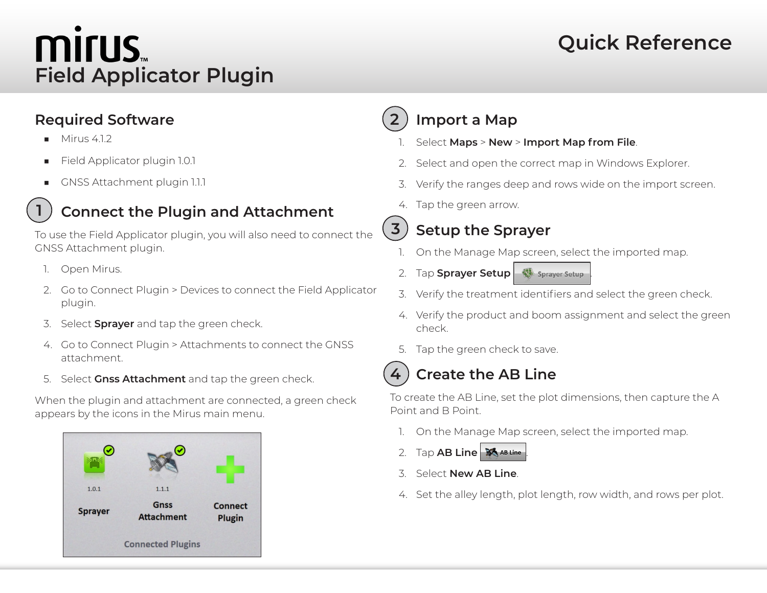# **MITUS Field Applicator Plugin**

# **Quick Reference**

### **Required Software**

 $Mirus 412$ 

**1**

- Field Applicator plugin 1.0.1
- GNSS Attachment plugin 1.1.1

# **Connect the Plugin and Attachment**

To use the Field Applicator plugin, you will also need to connect the GNSS Attachment plugin.

- 1. Open Mirus.
- 2. Go to Connect Plugin > Devices to connect the Field Applicator plugin.
- 3. Select **Sprayer** and tap the green check.
- 4. Go to Connect Plugin > Attachments to connect the GNSS attachment.
- 5. Select **Gnss Attachment** and tap the green check.

When the plugin and attachment are connected, a green check appears by the icons in the Mirus main menu.



#### **Import a Map 2**

- 1. Select **Maps** > **New** > **Import Map from File**.
- 2. Select and open the correct map in Windows Explorer.
- 3. Verify the ranges deep and rows wide on the import screen.
- 4. Tap the green arrow.

## **Setup the Sprayer**

- 1. On the Manage Map screen, select the imported map.
- 2. Tap **Sprayer Setup . Sprayer Setup**
- 3. Verify the treatment identifiers and select the green check.
- 4. Verify the product and boom assignment and select the green check.
- 5. Tap the green check to save.



**3**

### **Create the AB Line**

To create the AB Line, set the plot dimensions, then capture the A Point and B Point.

- 1. On the Manage Map screen, select the imported map.
- 2. Tap AB Line **. So AB Line**
- 3. Select **New AB Line**.
- 4. Set the alley length, plot length, row width, and rows per plot.